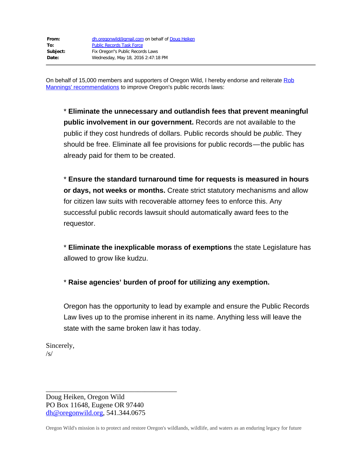On behalf of 15,000 members and supporters of Oregon Wild, I hereby endorse and reiterate [Rob](https://medium.com/@robwdavis/whats-wrong-with-oregon-s-public-records-law-24b9fd9a2cd6#.wji29zoqr) [Mannings' recommendations](https://medium.com/@robwdavis/whats-wrong-with-oregon-s-public-records-law-24b9fd9a2cd6#.wji29zoqr) to improve Oregon's public records laws:

\* **Eliminate the unnecessary and outlandish fees that prevent meaningful public involvement in our government.** Records are not available to the public if they cost hundreds of dollars. Public records should be *public*. They should be free. Eliminate all fee provisions for public records—the public has already paid for them to be created.

\* **Ensure the standard turnaround time for requests is measured in hours or days, not weeks or months.** Create strict statutory mechanisms and allow for citizen law suits with recoverable attorney fees to enforce this. Any successful public records lawsuit should automatically award fees to the requestor.

\* **Eliminate the inexplicable morass of exemptions** the state Legislature has allowed to grow like kudzu.

\* **Raise agencies' burden of proof for utilizing any exemption.**

Oregon has the opportunity to lead by example and ensure the Public Records Law lives up to the promise inherent in its name. Anything less will leave the state with the same broken law it has today.

Sincerely,  $/s/$ 

\_\_\_\_\_\_\_\_\_\_\_\_\_\_\_\_\_\_\_\_\_\_\_\_\_\_\_\_\_\_\_\_\_\_\_\_\_ Doug Heiken, Oregon Wild PO Box 11648, Eugene OR 97440 [dh@oregonwild.org](mailto:dh@oregonwild.org), 541.344.0675

Oregon Wild's mission is to protect and restore Oregon's wildlands, wildlife, and waters as an enduring legacy for future